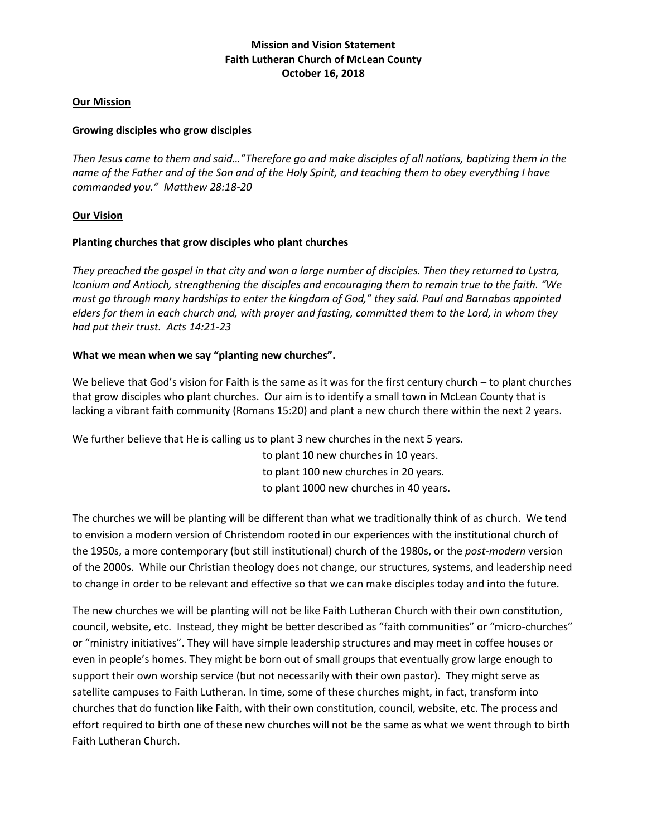### **Our Mission**

### **Growing disciples who grow disciples**

*Then Jesus came to them and said…"Therefore go and make disciples of all nations, baptizing them in the name of the Father and of the Son and of the Holy Spirit, and teaching them to obey everything I have commanded you." Matthew 28:18-20*

## **Our Vision**

### **Planting churches that grow disciples who plant churches**

*They preached the gospel in that city and won a large number of disciples. Then they returned to Lystra, Iconium and Antioch, strengthening the disciples and encouraging them to remain true to the faith. "We must go through many hardships to enter the kingdom of God," they said. Paul and Barnabas appointed elders for them in each church and, with prayer and fasting, committed them to the Lord, in whom they had put their trust. Acts 14:21-23*

## **What we mean when we say "planting new churches".**

We believe that God's vision for Faith is the same as it was for the first century church – to plant churches that grow disciples who plant churches. Our aim is to identify a small town in McLean County that is lacking a vibrant faith community (Romans 15:20) and plant a new church there within the next 2 years.

We further believe that He is calling us to plant 3 new churches in the next 5 years.

 to plant 10 new churches in 10 years. to plant 100 new churches in 20 years. to plant 1000 new churches in 40 years.

The churches we will be planting will be different than what we traditionally think of as church. We tend to envision a modern version of Christendom rooted in our experiences with the institutional church of the 1950s, a more contemporary (but still institutional) church of the 1980s, or the *post-modern* version of the 2000s. While our Christian theology does not change, our structures, systems, and leadership need to change in order to be relevant and effective so that we can make disciples today and into the future.

The new churches we will be planting will not be like Faith Lutheran Church with their own constitution, council, website, etc. Instead, they might be better described as "faith communities" or "micro-churches" or "ministry initiatives". They will have simple leadership structures and may meet in coffee houses or even in people's homes. They might be born out of small groups that eventually grow large enough to support their own worship service (but not necessarily with their own pastor). They might serve as satellite campuses to Faith Lutheran. In time, some of these churches might, in fact, transform into churches that do function like Faith, with their own constitution, council, website, etc. The process and effort required to birth one of these new churches will not be the same as what we went through to birth Faith Lutheran Church.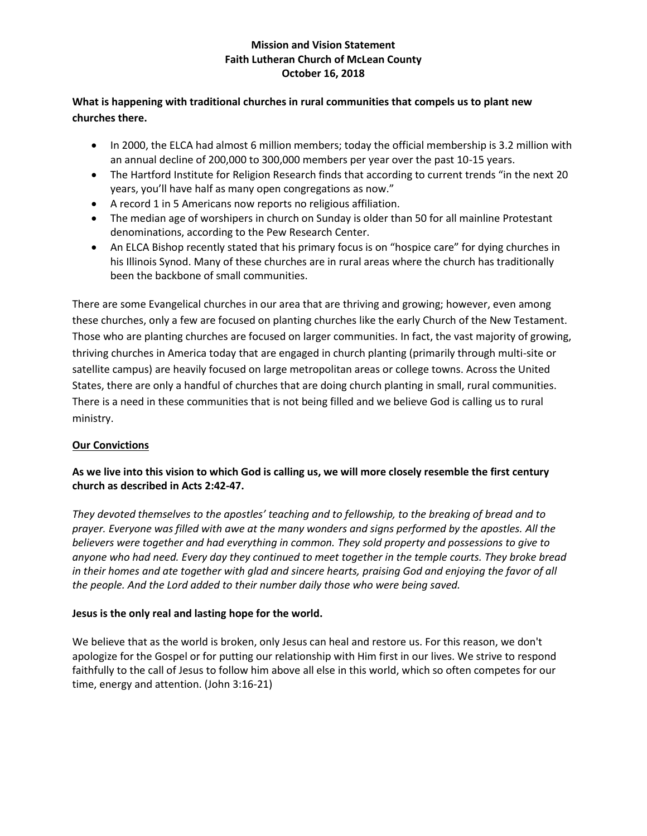## **What is happening with traditional churches in rural communities that compels us to plant new churches there.**

- In 2000, the ELCA had almost 6 million members; today the official membership is 3.2 million with an annual decline of 200,000 to 300,000 members per year over the past 10-15 years.
- The Hartford Institute for Religion Research finds that according to current trends "in the next 20 years, you'll have half as many open congregations as now."
- A record 1 in 5 Americans now reports no religious affiliation.
- The median age of worshipers in church on Sunday is older than 50 for all mainline Protestant denominations, according to the Pew Research Center.
- An ELCA Bishop recently stated that his primary focus is on "hospice care" for dying churches in his Illinois Synod. Many of these churches are in rural areas where the church has traditionally been the backbone of small communities.

There are some Evangelical churches in our area that are thriving and growing; however, even among these churches, only a few are focused on planting churches like the early Church of the New Testament. Those who are planting churches are focused on larger communities. In fact, the vast majority of growing, thriving churches in America today that are engaged in church planting (primarily through multi-site or satellite campus) are heavily focused on large metropolitan areas or college towns. Across the United States, there are only a handful of churches that are doing church planting in small, rural communities. There is a need in these communities that is not being filled and we believe God is calling us to rural ministry.

# **Our Convictions**

## **As we live into this vision to which God is calling us, we will more closely resemble the first century church as described in Acts 2:42-47.**

*They devoted themselves to the apostles' teaching and to fellowship, to the breaking of bread and to prayer. Everyone was filled with awe at the many wonders and signs performed by the apostles. All the believers were together and had everything in common. They sold property and possessions to give to anyone who had need. Every day they continued to meet together in the temple courts. They broke bread in their homes and ate together with glad and sincere hearts, praising God and enjoying the favor of all the people. And the Lord added to their number daily those who were being saved.*

## **Jesus is the only real and lasting hope for the world.**

We believe that as the world is broken, only Jesus can heal and restore us. For this reason, we don't apologize for the Gospel or for putting our relationship with Him first in our lives. We strive to respond faithfully to the call of Jesus to follow him above all else in this world, which so often competes for our time, energy and attention. (John 3:16-21)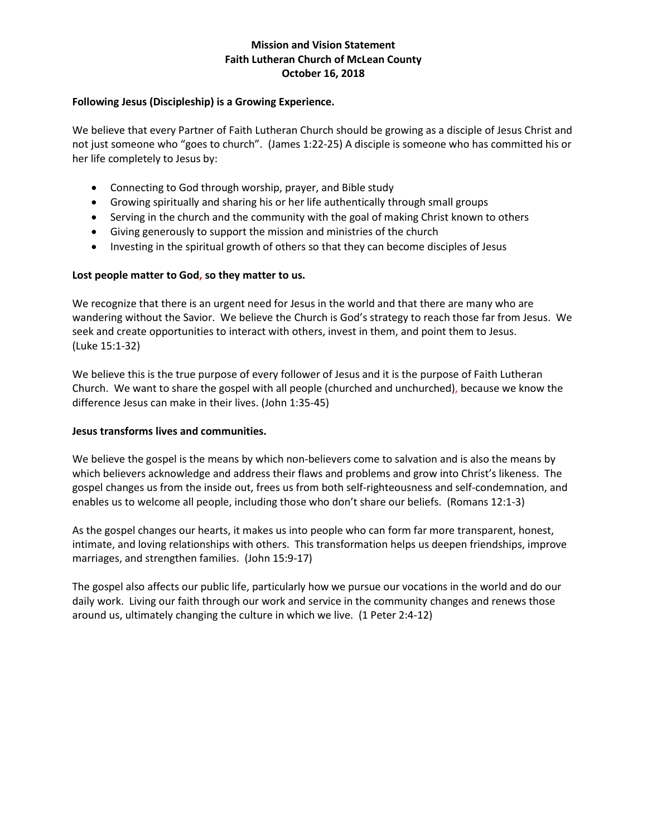### **Following Jesus (Discipleship) is a Growing Experience.**

We believe that every Partner of Faith Lutheran Church should be growing as a disciple of Jesus Christ and not just someone who "goes to church". (James 1:22-25) A disciple is someone who has committed his or her life completely to Jesus by:

- Connecting to God through worship, prayer, and Bible study
- Growing spiritually and sharing his or her life authentically through small groups
- Serving in the church and the community with the goal of making Christ known to others
- Giving generously to support the mission and ministries of the church
- Investing in the spiritual growth of others so that they can become disciples of Jesus

### **Lost people matter to God, so they matter to us.**

We recognize that there is an urgent need for Jesus in the world and that there are many who are wandering without the Savior. We believe the Church is God's strategy to reach those far from Jesus. We seek and create opportunities to interact with others, invest in them, and point them to Jesus. (Luke 15:1-32)

We believe this is the true purpose of every follower of Jesus and it is the purpose of Faith Lutheran Church. We want to share the gospel with all people (churched and unchurched), because we know the difference Jesus can make in their lives. (John 1:35-45)

### **Jesus transforms lives and communities.**

We believe the gospel is the means by which non-believers come to salvation and is also the means by which believers acknowledge and address their flaws and problems and grow into Christ's likeness. The gospel changes us from the inside out, frees us from both self-righteousness and self-condemnation, and enables us to welcome all people, including those who don't share our beliefs. (Romans 12:1-3)

As the gospel changes our hearts, it makes us into people who can form far more transparent, honest, intimate, and loving relationships with others. This transformation helps us deepen friendships, improve marriages, and strengthen families. (John 15:9-17)

The gospel also affects our public life, particularly how we pursue our vocations in the world and do our daily work. Living our faith through our work and service in the community changes and renews those around us, ultimately changing the culture in which we live. (1 Peter 2:4-12)